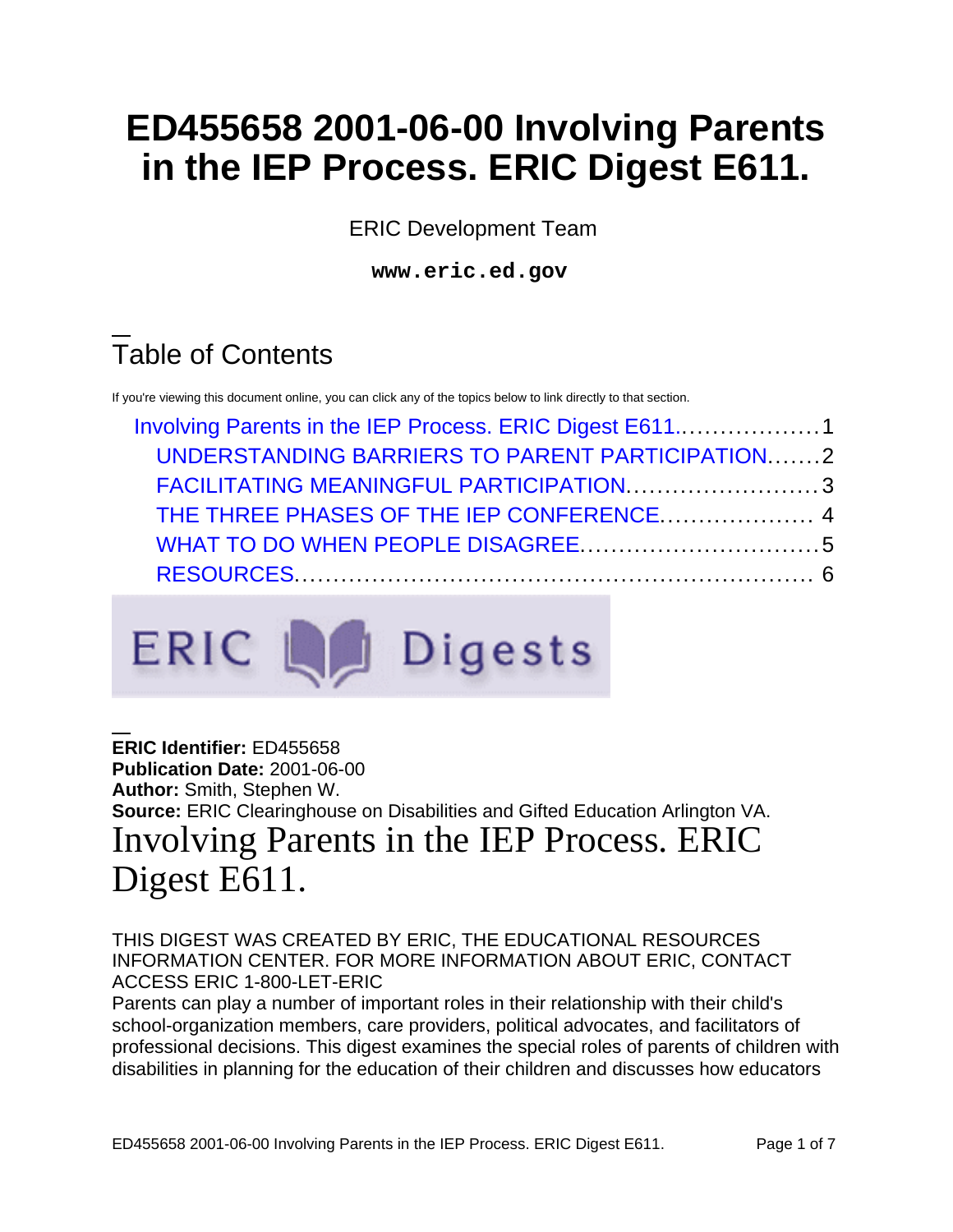# **ED455658 2001-06-00 Involving Parents in the IEP Process. ERIC Digest E611.**

ERIC Development Team

**www.eric.ed.gov** 

## Table of Contents

If you're viewing this document online, you can click any of the topics below to link directly to that section.

| Involving Parents in the IEP Process. ERIC Digest E6111 |  |
|---------------------------------------------------------|--|
| UNDERSTANDING BARRIERS TO PARENT PARTICIPATION2         |  |
| FACILITATING MEANINGFUL PARTICIPATION3                  |  |
| THE THREE PHASES OF THE IEP CONFERENCE 4                |  |
|                                                         |  |
|                                                         |  |



#### <span id="page-0-0"></span>**ERIC Identifier:** ED455658 **Publication Date:** 2001-06-00 **Author:** Smith, Stephen W. **Source:** ERIC Clearinghouse on Disabilities and Gifted Education Arlington VA. Involving Parents in the IEP Process. ERIC Digest E611.

#### THIS DIGEST WAS CREATED BY ERIC, THE EDUCATIONAL RESOURCES INFORMATION CENTER. FOR MORE INFORMATION ABOUT ERIC, CONTACT ACCESS ERIC 1-800-LET-ERIC

Parents can play a number of important roles in their relationship with their child's school-organization members, care providers, political advocates, and facilitators of professional decisions. This digest examines the special roles of parents of children with disabilities in planning for the education of their children and discusses how educators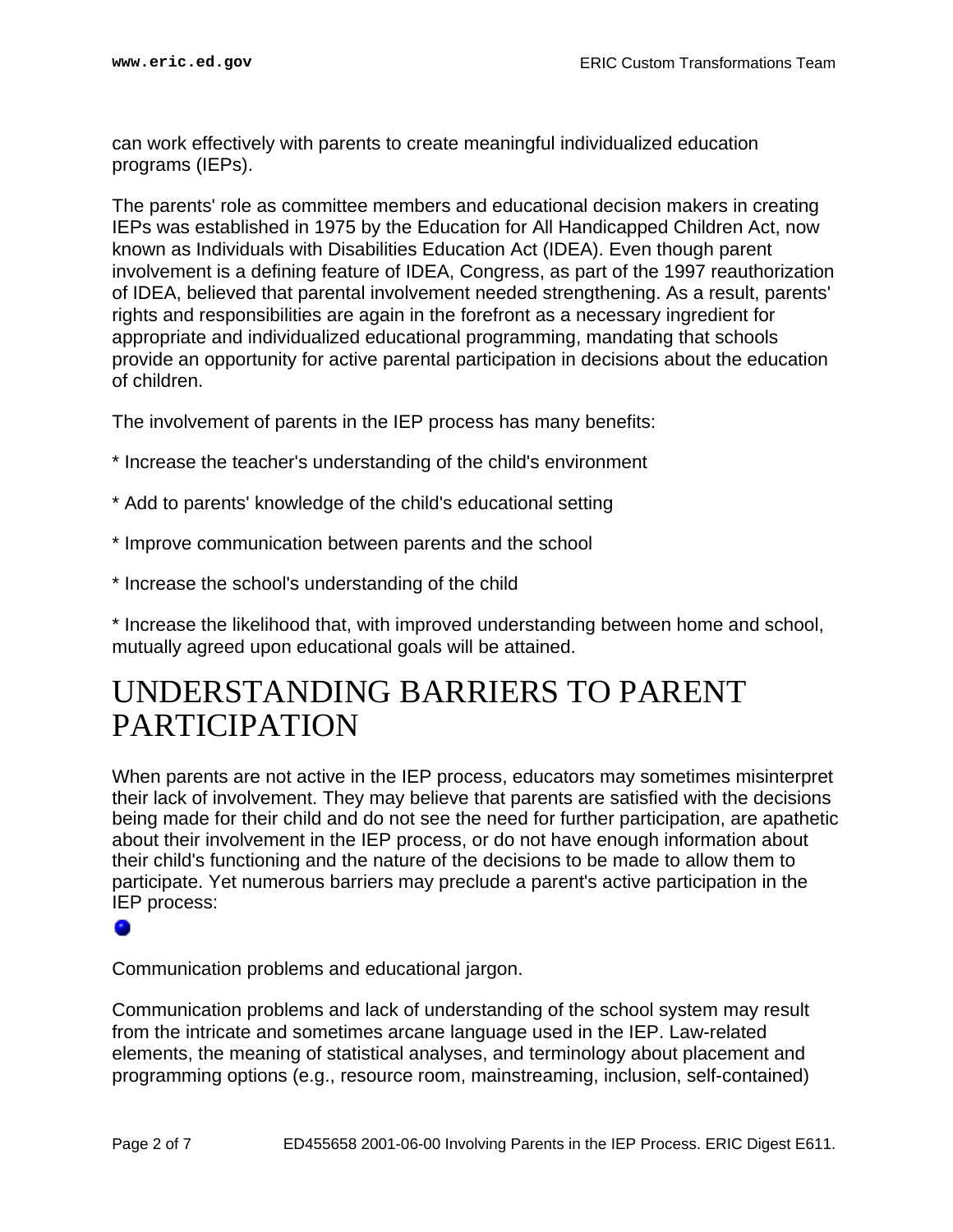can work effectively with parents to create meaningful individualized education programs (IEPs).

The parents' role as committee members and educational decision makers in creating IEPs was established in 1975 by the Education for All Handicapped Children Act, now known as Individuals with Disabilities Education Act (IDEA). Even though parent involvement is a defining feature of IDEA, Congress, as part of the 1997 reauthorization of IDEA, believed that parental involvement needed strengthening. As a result, parents' rights and responsibilities are again in the forefront as a necessary ingredient for appropriate and individualized educational programming, mandating that schools provide an opportunity for active parental participation in decisions about the education of children.

The involvement of parents in the IEP process has many benefits:

- \* Increase the teacher's understanding of the child's environment
- \* Add to parents' knowledge of the child's educational setting
- \* Improve communication between parents and the school
- \* Increase the school's understanding of the child

\* Increase the likelihood that, with improved understanding between home and school, mutually agreed upon educational goals will be attained.

### <span id="page-1-0"></span>UNDERSTANDING BARRIERS TO PARENT PARTICIPATION

IEP process:<br>●<br>● When parents are not active in the IEP process, educators may sometimes misinterpret their lack of involvement. They may believe that parents are satisfied with the decisions being made for their child and do not see the need for further participation, are apathetic about their involvement in the IEP process, or do not have enough information about their child's functioning and the nature of the decisions to be made to allow them to participate. Yet numerous barriers may preclude a parent's active participation in the

Communication problems and educational jargon.

Communication problems and lack of understanding of the school system may result from the intricate and sometimes arcane language used in the IEP. Law-related elements, the meaning of statistical analyses, and terminology about placement and programming options (e.g., resource room, mainstreaming, inclusion, self-contained)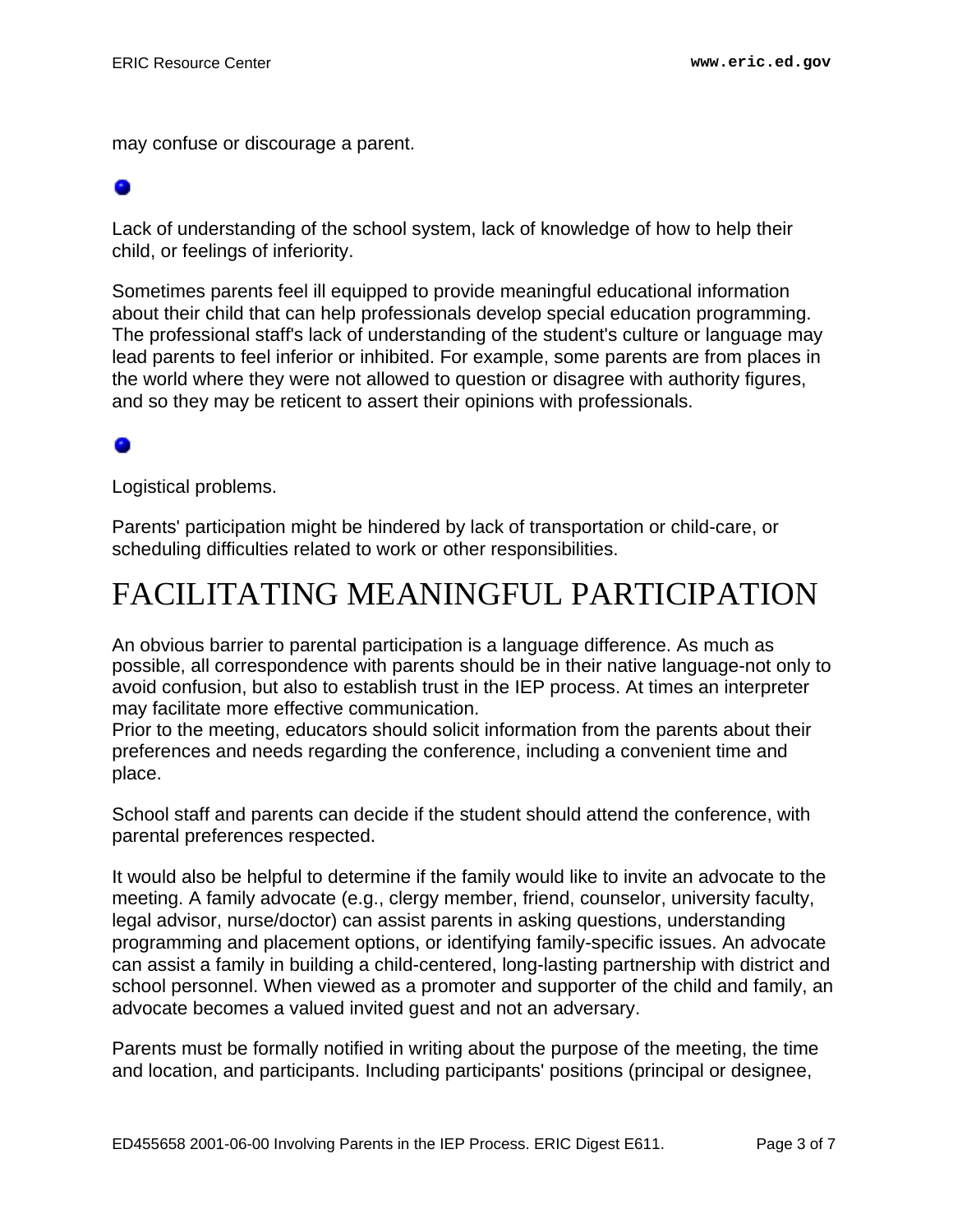may confuse or discourage a parent.

# •

Lack of understanding of the school system, lack of knowledge of how to help their child, or feelings of inferiority.

Sometimes parents feel ill equipped to provide meaningful educational information about their child that can help professionals develop special education programming. The professional staff's lack of understanding of the student's culture or language may lead parents to feel inferior or inhibited. For example, some parents are from places in the world where they were not allowed to question or disagree with authority figures, and so they may be reticent to assert their opinions with professionals.

#### •

Logistical problems.

Parents' participation might be hindered by lack of transportation or child-care, or scheduling difficulties related to work or other responsibilities.

## <span id="page-2-0"></span>FACILITATING MEANINGFUL PARTICIPATION

An obvious barrier to parental participation is a language difference. As much as possible, all correspondence with parents should be in their native language-not only to avoid confusion, but also to establish trust in the IEP process. At times an interpreter may facilitate more effective communication.

Prior to the meeting, educators should solicit information from the parents about their preferences and needs regarding the conference, including a convenient time and place.

School staff and parents can decide if the student should attend the conference, with parental preferences respected.

It would also be helpful to determine if the family would like to invite an advocate to the meeting. A family advocate (e.g., clergy member, friend, counselor, university faculty, legal advisor, nurse/doctor) can assist parents in asking questions, understanding programming and placement options, or identifying family-specific issues. An advocate can assist a family in building a child-centered, long-lasting partnership with district and school personnel. When viewed as a promoter and supporter of the child and family, an advocate becomes a valued invited guest and not an adversary.

Parents must be formally notified in writing about the purpose of the meeting, the time and location, and participants. Including participants' positions (principal or designee,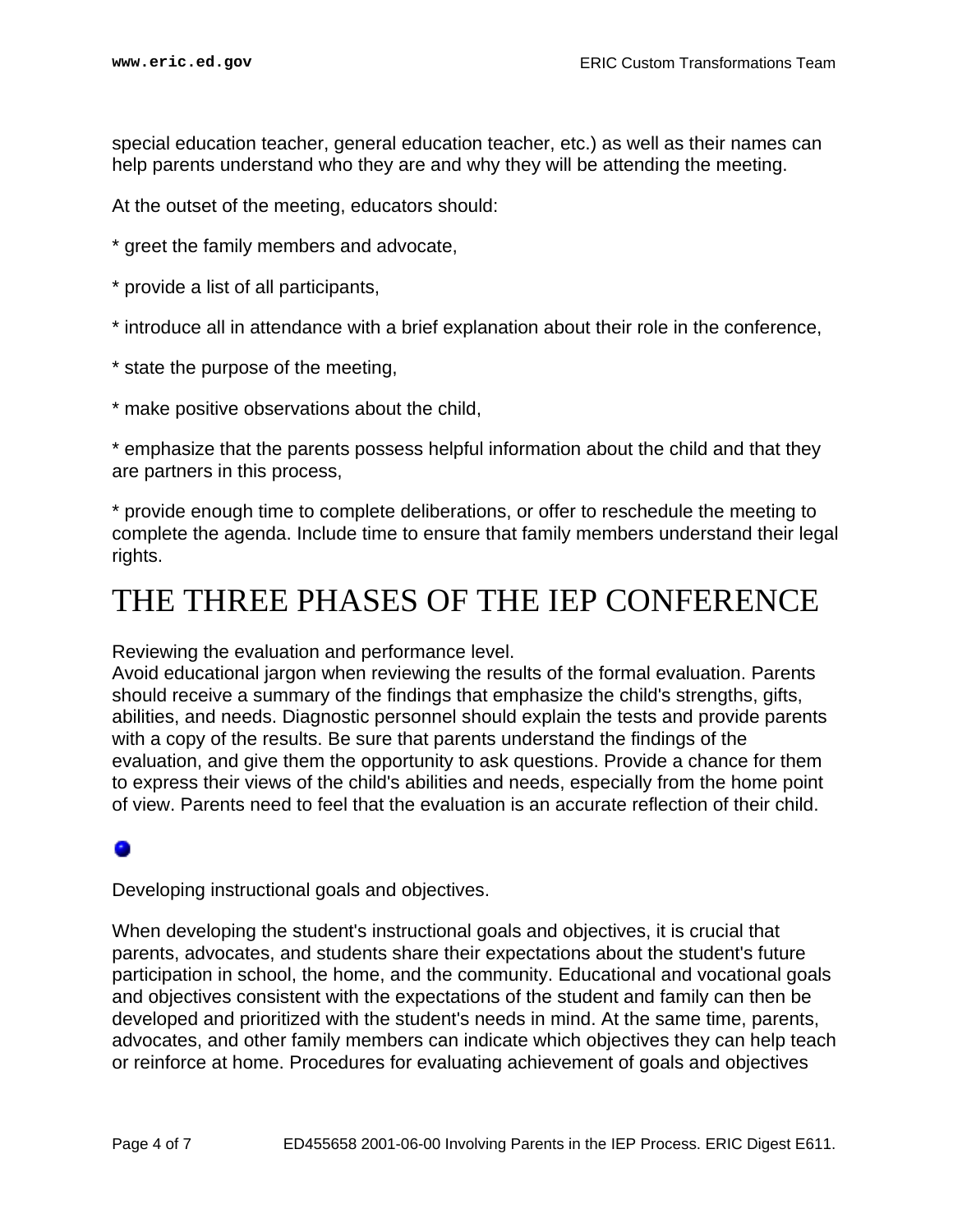special education teacher, general education teacher, etc.) as well as their names can help parents understand who they are and why they will be attending the meeting.

At the outset of the meeting, educators should:

- \* greet the family members and advocate,
- \* provide a list of all participants,
- \* introduce all in attendance with a brief explanation about their role in the conference,
- \* state the purpose of the meeting,
- \* make positive observations about the child,

\* emphasize that the parents possess helpful information about the child and that they are partners in this process,

\* provide enough time to complete deliberations, or offer to reschedule the meeting to complete the agenda. Include time to ensure that family members understand their legal rights.

### <span id="page-3-0"></span>THE THREE PHASES OF THE IEP CONFERENCE

Reviewing the evaluation and performance level.

Avoid educational jargon when reviewing the results of the formal evaluation. Parents should receive a summary of the findings that emphasize the child's strengths, gifts, abilities, and needs. Diagnostic personnel should explain the tests and provide parents with a copy of the results. Be sure that parents understand the findings of the evaluation, and give them the opportunity to ask questions. Provide a chance for them to express their views of the child's abilities and needs, especially from the home point of view. Parents need to feel that the evaluation is an accurate reflection of their child.

# •

Developing instructional goals and objectives.

When developing the student's instructional goals and objectives, it is crucial that parents, advocates, and students share their expectations about the student's future participation in school, the home, and the community. Educational and vocational goals and objectives consistent with the expectations of the student and family can then be developed and prioritized with the student's needs in mind. At the same time, parents, advocates, and other family members can indicate which objectives they can help teach or reinforce at home. Procedures for evaluating achievement of goals and objectives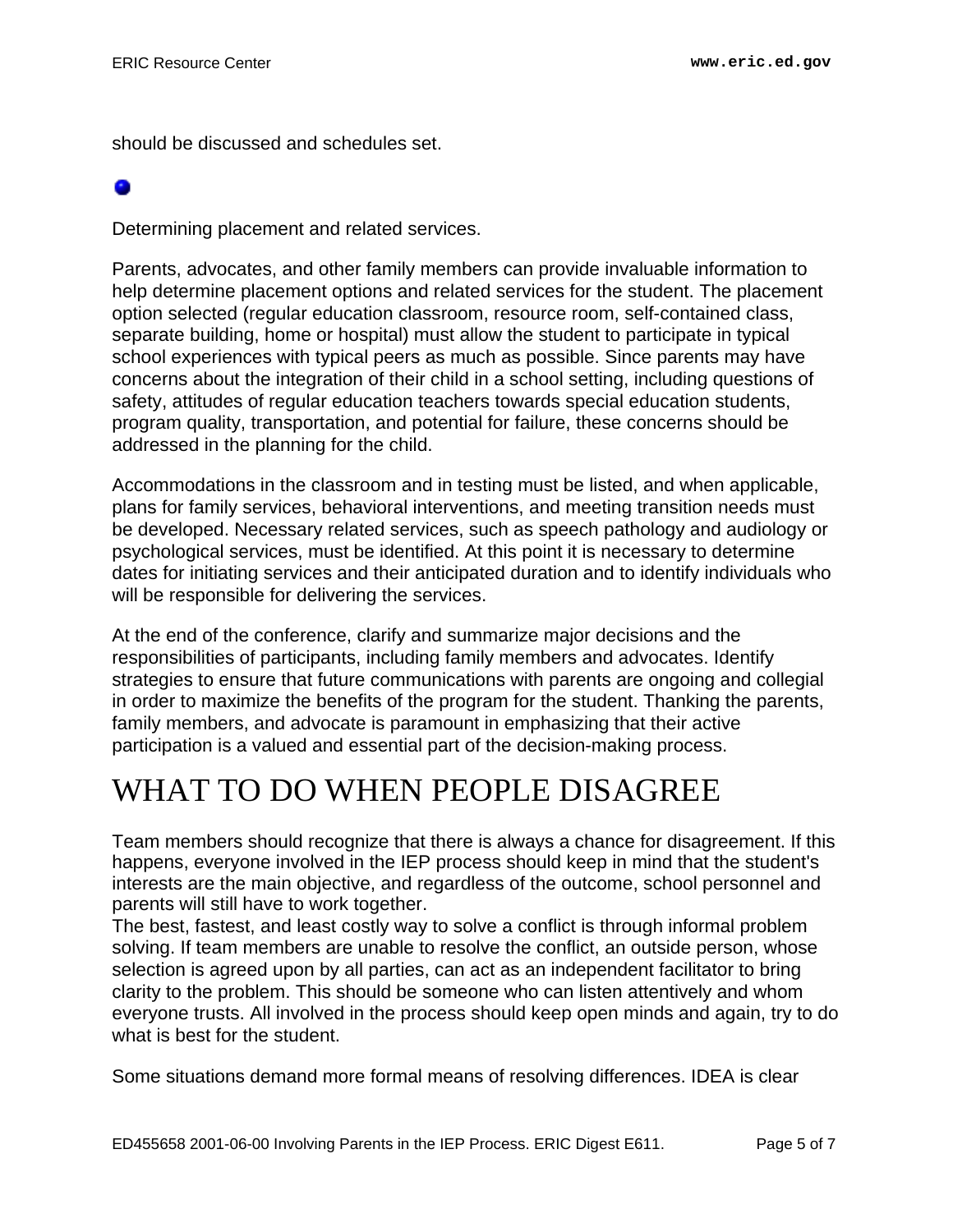should be discussed and schedules set.

# •

Determining placement and related services.

Parents, advocates, and other family members can provide invaluable information to help determine placement options and related services for the student. The placement option selected (regular education classroom, resource room, self-contained class, separate building, home or hospital) must allow the student to participate in typical school experiences with typical peers as much as possible. Since parents may have concerns about the integration of their child in a school setting, including questions of safety, attitudes of regular education teachers towards special education students, program quality, transportation, and potential for failure, these concerns should be addressed in the planning for the child.

Accommodations in the classroom and in testing must be listed, and when applicable, plans for family services, behavioral interventions, and meeting transition needs must be developed. Necessary related services, such as speech pathology and audiology or psychological services, must be identified. At this point it is necessary to determine dates for initiating services and their anticipated duration and to identify individuals who will be responsible for delivering the services.

At the end of the conference, clarify and summarize major decisions and the responsibilities of participants, including family members and advocates. Identify strategies to ensure that future communications with parents are ongoing and collegial in order to maximize the benefits of the program for the student. Thanking the parents, family members, and advocate is paramount in emphasizing that their active participation is a valued and essential part of the decision-making process.

### <span id="page-4-0"></span>WHAT TO DO WHEN PEOPLE DISAGREE

Team members should recognize that there is always a chance for disagreement. If this happens, everyone involved in the IEP process should keep in mind that the student's interests are the main objective, and regardless of the outcome, school personnel and parents will still have to work together.

The best, fastest, and least costly way to solve a conflict is through informal problem solving. If team members are unable to resolve the conflict, an outside person, whose selection is agreed upon by all parties, can act as an independent facilitator to bring clarity to the problem. This should be someone who can listen attentively and whom everyone trusts. All involved in the process should keep open minds and again, try to do what is best for the student.

Some situations demand more formal means of resolving differences. IDEA is clear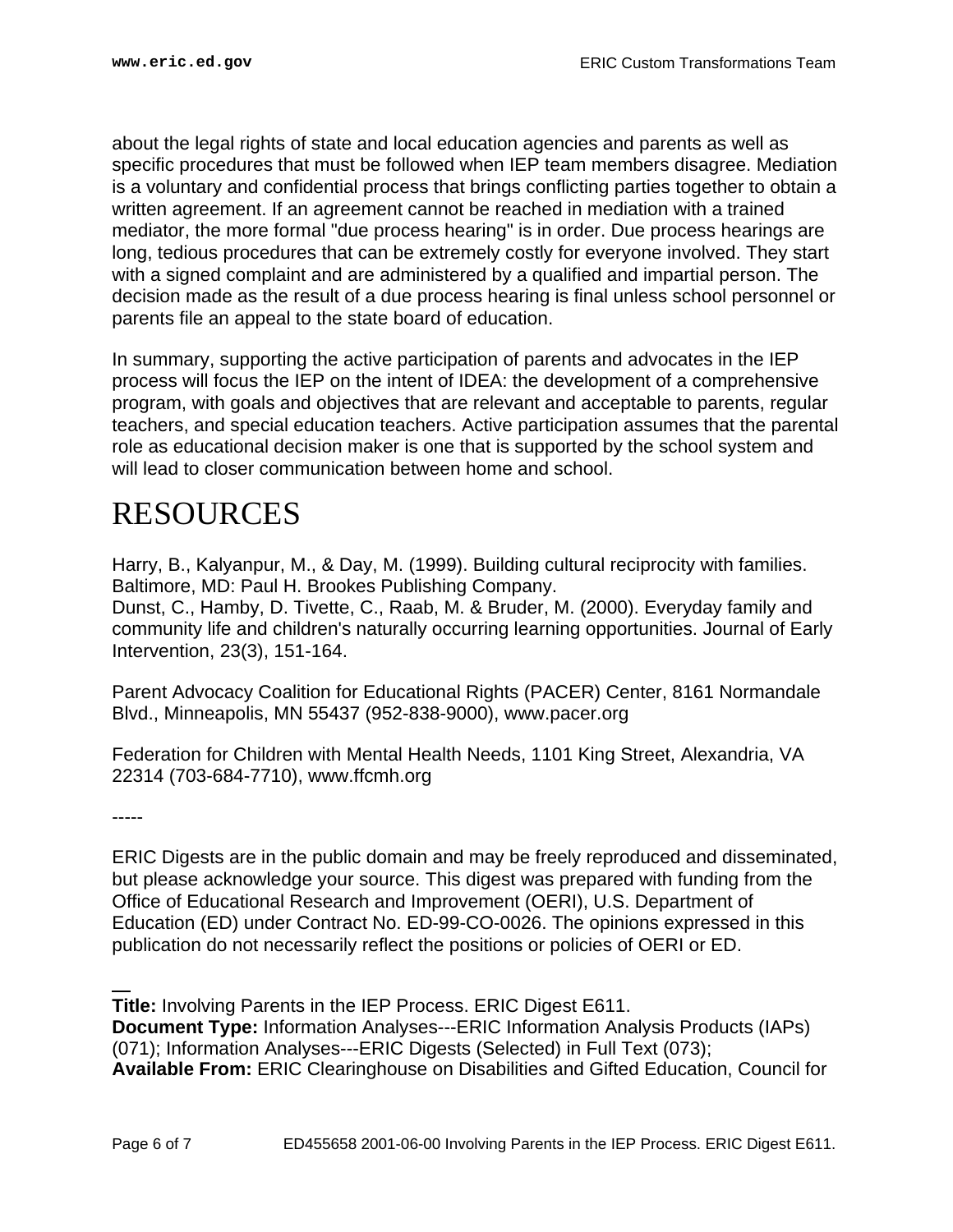about the legal rights of state and local education agencies and parents as well as specific procedures that must be followed when IEP team members disagree. Mediation is a voluntary and confidential process that brings conflicting parties together to obtain a written agreement. If an agreement cannot be reached in mediation with a trained mediator, the more formal "due process hearing" is in order. Due process hearings are long, tedious procedures that can be extremely costly for everyone involved. They start with a signed complaint and are administered by a qualified and impartial person. The decision made as the result of a due process hearing is final unless school personnel or parents file an appeal to the state board of education.

In summary, supporting the active participation of parents and advocates in the IEP process will focus the IEP on the intent of IDEA: the development of a comprehensive program, with goals and objectives that are relevant and acceptable to parents, regular teachers, and special education teachers. Active participation assumes that the parental role as educational decision maker is one that is supported by the school system and will lead to closer communication between home and school.

## <span id="page-5-0"></span>RESOURCES

Harry, B., Kalyanpur, M., & Day, M. (1999). Building cultural reciprocity with families. Baltimore, MD: Paul H. Brookes Publishing Company. Dunst, C., Hamby, D. Tivette, C., Raab, M. & Bruder, M. (2000). Everyday family and community life and children's naturally occurring learning opportunities. Journal of Early Intervention, 23(3), 151-164.

Parent Advocacy Coalition for Educational Rights (PACER) Center, 8161 Normandale Blvd., Minneapolis, MN 55437 (952-838-9000), www.pacer.org

Federation for Children with Mental Health Needs, 1101 King Street, Alexandria, VA 22314 (703-684-7710), www.ffcmh.org

-----

ERIC Digests are in the public domain and may be freely reproduced and disseminated, but please acknowledge your source. This digest was prepared with funding from the Office of Educational Research and Improvement (OERI), U.S. Department of Education (ED) under Contract No. ED-99-CO-0026. The opinions expressed in this publication do not necessarily reflect the positions or policies of OERI or ED.

-- **Title:** Involving Parents in the IEP Process. ERIC Digest E611. **Document Type:** Information Analyses---ERIC Information Analysis Products (IAPs) (071); Information Analyses---ERIC Digests (Selected) in Full Text (073); **Available From:** ERIC Clearinghouse on Disabilities and Gifted Education, Council for